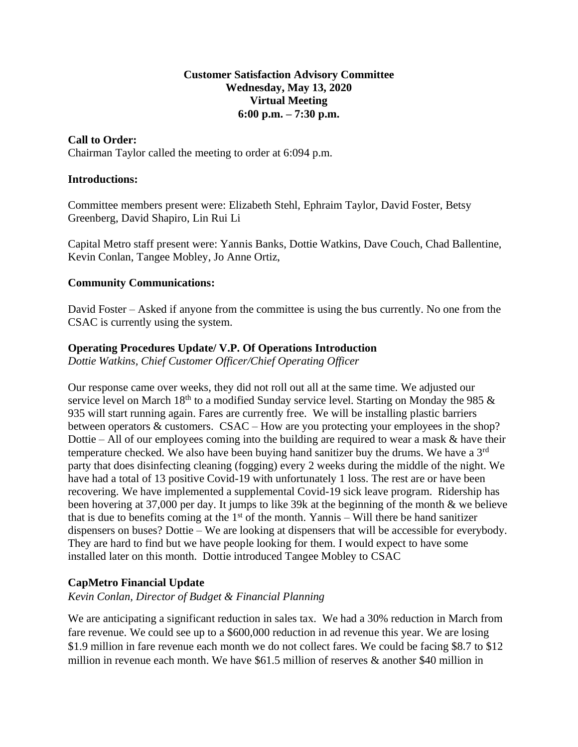### **Customer Satisfaction Advisory Committee Wednesday, May 13, 2020 Virtual Meeting 6:00 p.m. – 7:30 p.m.**

## **Call to Order:**

Chairman Taylor called the meeting to order at 6:094 p.m.

#### **Introductions:**

Committee members present were: Elizabeth Stehl, Ephraim Taylor, David Foster, Betsy Greenberg, David Shapiro, Lin Rui Li

Capital Metro staff present were: Yannis Banks, Dottie Watkins, Dave Couch, Chad Ballentine, Kevin Conlan, Tangee Mobley, Jo Anne Ortiz,

#### **Community Communications:**

David Foster – Asked if anyone from the committee is using the bus currently. No one from the CSAC is currently using the system.

## **Operating Procedures Update/ V.P. Of Operations Introduction**

*Dottie Watkins, Chief Customer Officer/Chief Operating Officer*

Our response came over weeks, they did not roll out all at the same time. We adjusted our service level on March 18<sup>th</sup> to a modified Sunday service level. Starting on Monday the 985  $\&$ 935 will start running again. Fares are currently free. We will be installing plastic barriers between operators & customers. CSAC – How are you protecting your employees in the shop? Dottie – All of our employees coming into the building are required to wear a mask  $\&$  have their temperature checked. We also have been buying hand sanitizer buy the drums. We have a 3rd party that does disinfecting cleaning (fogging) every 2 weeks during the middle of the night. We have had a total of 13 positive Covid-19 with unfortunately 1 loss. The rest are or have been recovering. We have implemented a supplemental Covid-19 sick leave program. Ridership has been hovering at 37,000 per day. It jumps to like 39k at the beginning of the month & we believe that is due to benefits coming at the  $1<sup>st</sup>$  of the month. Yannis – Will there be hand sanitizer dispensers on buses? Dottie – We are looking at dispensers that will be accessible for everybody. They are hard to find but we have people looking for them. I would expect to have some installed later on this month. Dottie introduced Tangee Mobley to CSAC

#### **CapMetro Financial Update**

*Kevin Conlan, Director of Budget & Financial Planning*

We are anticipating a significant reduction in sales tax. We had a 30% reduction in March from fare revenue. We could see up to a \$600,000 reduction in ad revenue this year. We are losing \$1.9 million in fare revenue each month we do not collect fares. We could be facing \$8.7 to \$12 million in revenue each month. We have \$61.5 million of reserves & another \$40 million in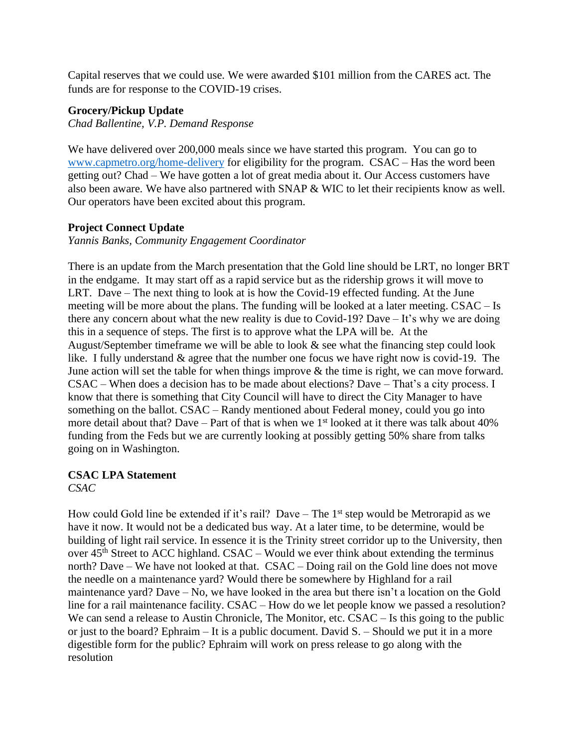Capital reserves that we could use. We were awarded \$101 million from the CARES act. The funds are for response to the COVID-19 crises.

#### **Grocery/Pickup Update**

*Chad Ballentine, V.P. Demand Response*

We have delivered over 200,000 meals since we have started this program. You can go to [www.capmetro.org/home-delivery](http://www.capmetro.org/home-delivery) for eligibility for the program. CSAC – Has the word been getting out? Chad – We have gotten a lot of great media about it. Our Access customers have also been aware. We have also partnered with SNAP & WIC to let their recipients know as well. Our operators have been excited about this program.

### **Project Connect Update**

*Yannis Banks, Community Engagement Coordinator*

There is an update from the March presentation that the Gold line should be LRT, no longer BRT in the endgame. It may start off as a rapid service but as the ridership grows it will move to LRT. Dave – The next thing to look at is how the Covid-19 effected funding. At the June meeting will be more about the plans. The funding will be looked at a later meeting. CSAC – Is there any concern about what the new reality is due to Covid-19? Dave – It's why we are doing this in a sequence of steps. The first is to approve what the LPA will be. At the August/September timeframe we will be able to look & see what the financing step could look like. I fully understand & agree that the number one focus we have right now is covid-19. The June action will set the table for when things improve & the time is right, we can move forward. CSAC – When does a decision has to be made about elections? Dave – That's a city process. I know that there is something that City Council will have to direct the City Manager to have something on the ballot. CSAC – Randy mentioned about Federal money, could you go into more detail about that? Dave – Part of that is when we  $1<sup>st</sup>$  looked at it there was talk about 40% funding from the Feds but we are currently looking at possibly getting 50% share from talks going on in Washington.

## **CSAC LPA Statement**

*CSAC*

How could Gold line be extended if it's rail? Dave – The  $1<sup>st</sup>$  step would be Metrorapid as we have it now. It would not be a dedicated bus way. At a later time, to be determine, would be building of light rail service. In essence it is the Trinity street corridor up to the University, then over  $45<sup>th</sup>$  Street to ACC highland. CSAC – Would we ever think about extending the terminus north? Dave – We have not looked at that. CSAC – Doing rail on the Gold line does not move the needle on a maintenance yard? Would there be somewhere by Highland for a rail maintenance yard? Dave – No, we have looked in the area but there isn't a location on the Gold line for a rail maintenance facility. CSAC – How do we let people know we passed a resolution? We can send a release to Austin Chronicle, The Monitor, etc. CSAC – Is this going to the public or just to the board? Ephraim – It is a public document. David S. – Should we put it in a more digestible form for the public? Ephraim will work on press release to go along with the resolution